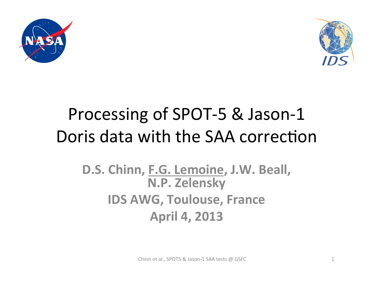



## Processing of SPOT-5 & Jason-1 Doris data with the SAA correction

### D.S. Chinn, F.G. Lemoine, J.W. Beall, **N.P. Zelensky IDS AWG, Toulouse, France April 4, 2013**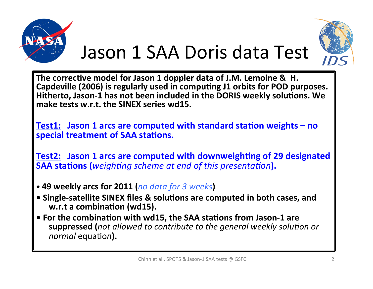

# Jason 1 SAA Doris data Test



The corrective model for Jason 1 doppler data of J.M. Lemoine & H. Capdeville (2006) is regularly used in computing J1 orbits for POD purposes. Hitherto, Jason-1 has not been included in the DORIS weekly solutions. We make tests w.r.t. the SINEX series wd15.

**Test1:** Jason 1 arcs are computed with standard station weights – no special treatment of SAA stations.

**Test2: Jason 1 arcs are computed with downweighting of 29 designated SAA stations (***weighting scheme at end of this presentation*).

- 49 weekly arcs for 2011 (*no data for 3 weeks*)
- **Single-satellite SINEX files & solutions are computed in both cases, and** w.r.t a combination (wd15).
- For the combination with wd15, the SAA stations from Jason-1 are **suppressed** (not allowed to contribute to the general weekly solution or *normal* equation).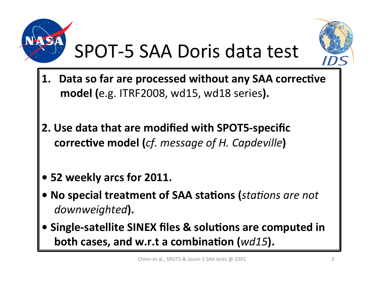

## SPOT-5 SAA Doris data test



- 1. Data so far are processed without any SAA corrective **model (e.g. ITRF2008, wd15, wd18 series).**
- **2. Use data that are modified with SPOT5-specific corrective model (***cf. message of H. Capdeville***)**
- 52 weekly arcs for 2011.
- No special treatment of SAA stations (*stations are not* downweighted).
- Single-satellite SINEX files & solutions are computed in **both cases, and w.r.t a combination (***wd15*).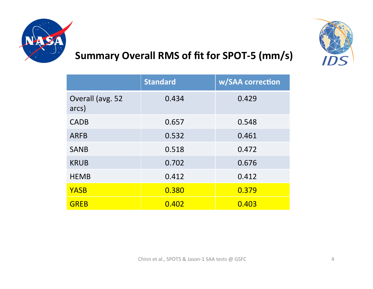

#### Summary Overall RMS of fit for SPOT-5 (mm/s)

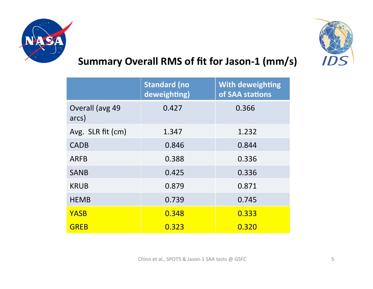



#### Summary Overall RMS of fit for Jason-1 (mm/s)

|                          | <b>Standard (no</b><br>deweighting) | <b>With deweighting</b><br>of SAA stations |
|--------------------------|-------------------------------------|--------------------------------------------|
| Overall (avg 49<br>arcs) | 0.427                               | 0.366                                      |
| Avg. SLR fit (cm)        | 1.347                               | 1.232                                      |
| <b>CADB</b>              | 0.846                               | 0.844                                      |
| <b>ARFB</b>              | 0.388                               | 0.336                                      |
| <b>SANB</b>              | 0.425                               | 0.336                                      |
| <b>KRUB</b>              | 0.879                               | 0.871                                      |
| <b>HEMB</b>              | 0.739                               | 0.745                                      |
| <b>YASB</b>              | 0.348                               | 0.333                                      |
| <b>GREB</b>              | 0.323                               | 0.320                                      |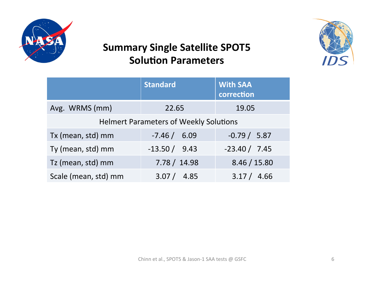

#### **Summary Single Satellite SPOT5 Solution Parameters**



|                                               | <b>Standard</b> | <b>With SAA</b><br>correction |  |
|-----------------------------------------------|-----------------|-------------------------------|--|
| Avg. WRMS (mm)                                | 22.65           | 19.05                         |  |
| <b>Helmert Parameters of Weekly Solutions</b> |                 |                               |  |
| Tx (mean, std) mm                             | $-7.46 / 6.09$  | $-0.79 / 5.87$                |  |
| Ty (mean, std) mm                             | $-13.50 / 9.43$ | $-23.40 / 7.45$               |  |
| Tz (mean, std) mm                             | 7.78 / 14.98    | 8.46 / 15.80                  |  |
| Scale (mean, std) mm                          | 3.07 / 4.85     | 3.17 / 4.66                   |  |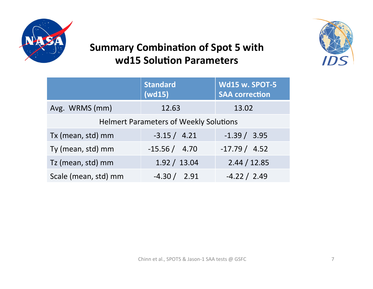

#### **Summary Combination of Spot 5 with** wd15 Solution Parameters



|                                               | <b>Standard</b><br>(wd15) | <b>Wd15 w. SPOT-5</b><br><b>SAA correction</b> |  |
|-----------------------------------------------|---------------------------|------------------------------------------------|--|
| Avg. WRMS (mm)                                | 12.63                     | 13.02                                          |  |
| <b>Helmert Parameters of Weekly Solutions</b> |                           |                                                |  |
| Tx (mean, std) mm                             | $-3.15 / 4.21$            | $-1.39 / 3.95$                                 |  |
| Ty (mean, std) mm                             | $-15.56 / 4.70$           | $-17.79 / 4.52$                                |  |
| Tz (mean, std) mm                             | 1.92 / 13.04              | 2.44 / 12.85                                   |  |
| Scale (mean, std) mm                          | $-4.30 / 2.91$            | $-4.22 / 2.49$                                 |  |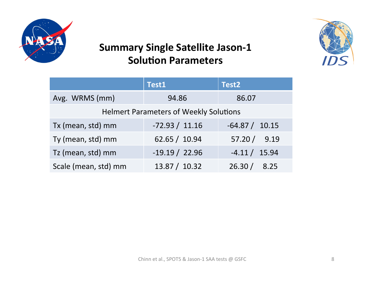

#### **Summary Single Satellite Jason-1 Solution Parameters**



|                                               | Test1            | Test <sub>2</sub> |  |
|-----------------------------------------------|------------------|-------------------|--|
| Avg. WRMS (mm)                                | 94.86            | 86.07             |  |
| <b>Helmert Parameters of Weekly Solutions</b> |                  |                   |  |
| Tx (mean, std) mm                             | $-72.93 / 11.16$ | $-64.87 / 10.15$  |  |
| Ty (mean, std) mm                             | 62.65 / 10.94    | 57.20 / 9.19      |  |
| Tz (mean, std) mm                             | $-19.19 / 22.96$ | $-4.11 / 15.94$   |  |
| Scale (mean, std) mm                          | 13.87 / 10.32    | 26.30/<br>8.25    |  |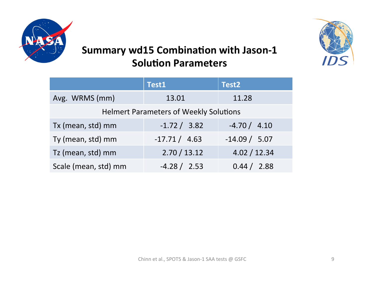



#### **Summary wd15 Combination with Jason-1 Solution Parameters**

|                                               | Test1          | Test <sub>2</sub> |  |
|-----------------------------------------------|----------------|-------------------|--|
| Avg. WRMS (mm)                                | 13.01          | 11.28             |  |
| <b>Helmert Parameters of Weekly Solutions</b> |                |                   |  |
| Tx (mean, std) mm                             | $-1.72 / 3.82$ | $-4.70 / 4.10$    |  |
| Ty (mean, std) mm                             | $-17.71/4.63$  | $-14.09 / 5.07$   |  |
| Tz (mean, std) mm                             | 2.70 / 13.12   | 4.02 / 12.34      |  |
| Scale (mean, std) mm                          | $-4.28 / 2.53$ | 0.44 / 2.88       |  |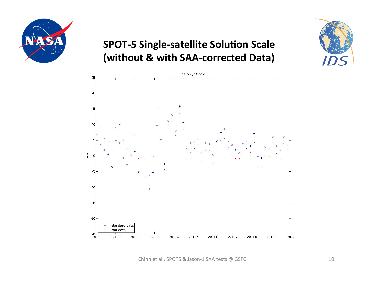

#### **SPOT-5 Single-satellite Solution Scale (without & with SAA-corrected Data)**



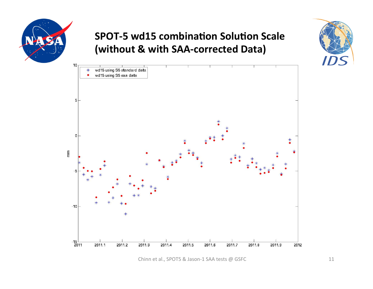

#### **SPOT-5** wd15 combination Solution Scale **(without & with SAA-corrected Data)**



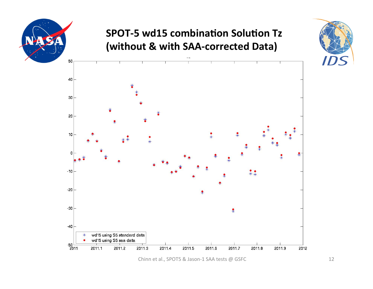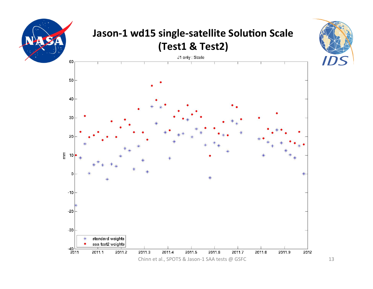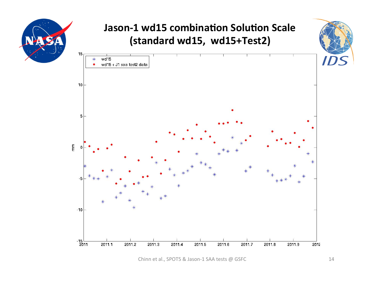![](_page_13_Figure_0.jpeg)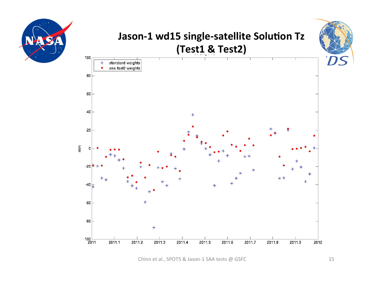![](_page_14_Figure_0.jpeg)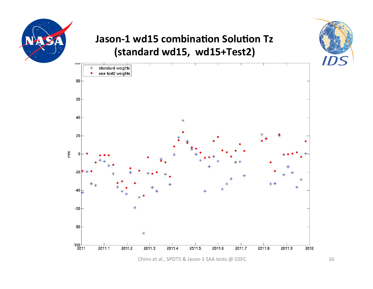![](_page_15_Figure_0.jpeg)